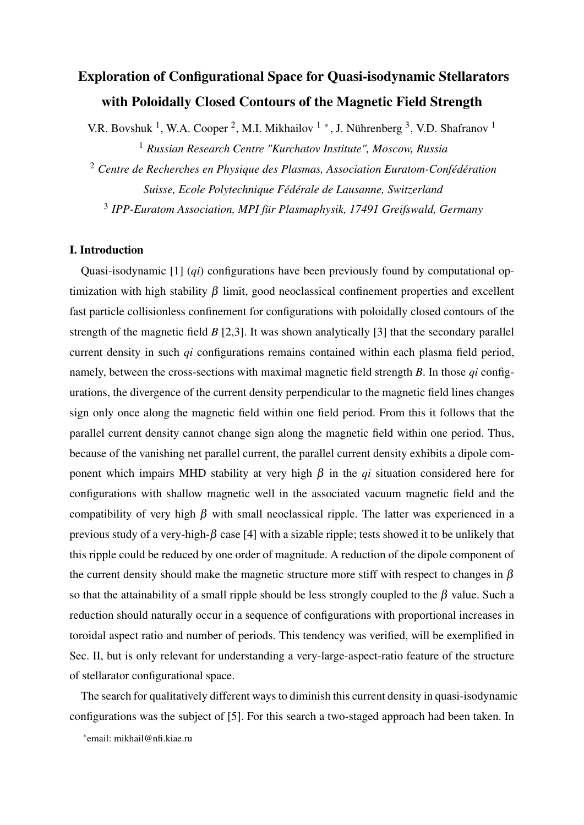# Exploration of Configurational Space for Quasi-isodynamic Stellarators with Poloidally Closed Contours of the Magnetic Field Strength

V.R. Bovshuk<sup>1</sup>, W.A. Cooper<sup>2</sup>, M.I. Mikhailov<sup>1</sup>\*, J. Nührenberg<sup>3</sup>, V.D. Shafranov<sup>1</sup> <sup>1</sup> *Russian Research Centre "Kurchatov Institute", Moscow, Russia*

<sup>2</sup> *Centre de Recherches en Physique des Plasmas, Association Euratom-Confédération Suisse, Ecole Polytechnique Fédérale de Lausanne, Switzerland* 3 *IPP-Euratom Association, MPI für Plasmaphysik, 17491 Greifswald, Germany*

## I. Introduction

Quasi-isodynamic [1] (*qi*) configurations have been previously found by computational optimization with high stability  $\beta$  limit, good neoclassical confinement properties and excellent fast particle collisionless confinement for configurations with poloidally closed contours of the strength of the magnetic field *B* [2,3]. It was shown analytically [3] that the secondary parallel current density in such *qi* configurations remains contained within each plasma field period, namely, between the cross-sections with maximal magnetic field strength *B*. In those *qi* configurations, the divergence of the current density perpendicular to the magnetic field lines changes sign only once along the magnetic field within one field period. From this it follows that the parallel current density cannot change sign along the magnetic field within one period. Thus, because of the vanishing net parallel current, the parallel current density exhibits a dipole component which impairs MHD stability at very high  $\beta$  in the *qi* situation considered here for configurations with shallow magnetic well in the associated vacuum magnetic field and the compatibility of very high  $\beta$  with small neoclassical ripple. The latter was experienced in a previous study of a very-high- $\beta$  case [4] with a sizable ripple; tests showed it to be unlikely that this ripple could be reduced by one order of magnitude. A reduction of the dipole component of the current density should make the magnetic structure more stiff with respect to changes in  $\beta$ so that the attainability of a small ripple should be less strongly coupled to the  $\beta$  value. Such a reduction should naturally occur in a sequence of configurations with proportional increases in toroidal aspect ratio and number of periods. This tendency was verified, will be exemplified in Sec. II, but is only relevant for understanding a very-large-aspect-ratio feature of the structure of stellarator configurational space.

The search for qualitatively different ways to diminish this current density in quasi-isodynamic configurations was the subject of [5]. For this search a two-staged approach had been taken. In

∗ email: mikhail@nfi.kiae.ru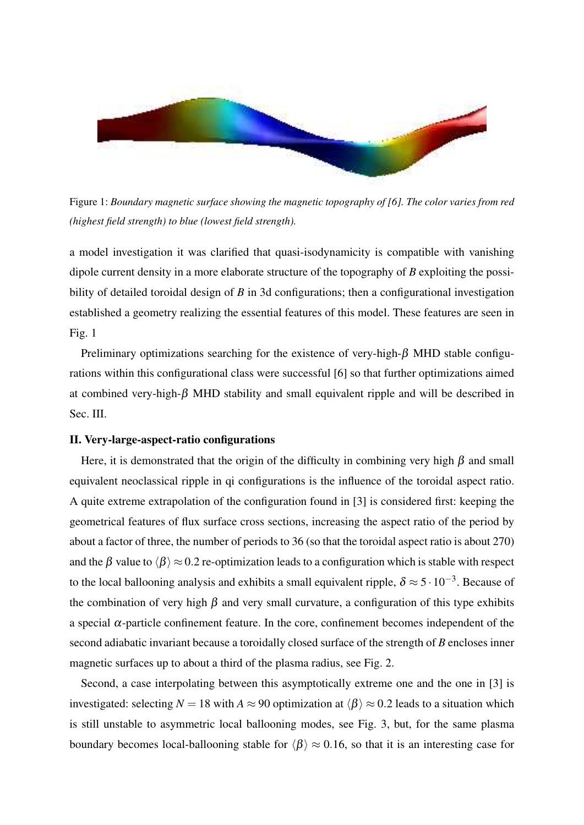

Figure 1: *Boundary magnetic surface showing the magnetic topography of [6]. The color varies from red (highest field strength) to blue (lowest field strength).*

a model investigation it was clarified that quasi-isodynamicity is compatible with vanishing dipole current density in a more elaborate structure of the topography of *B* exploiting the possibility of detailed toroidal design of *B* in 3d configurations; then a configurational investigation established a geometry realizing the essential features of this model. These features are seen in Fig. 1

Preliminary optimizations searching for the existence of very-high- $\beta$  MHD stable configurations within this configurational class were successful [6] so that further optimizations aimed at combined very-high- $\beta$  MHD stability and small equivalent ripple and will be described in Sec. III.

## II. Very-large-aspect-ratio configurations

Here, it is demonstrated that the origin of the difficulty in combining very high  $\beta$  and small equivalent neoclassical ripple in qi configurations is the influence of the toroidal aspect ratio. A quite extreme extrapolation of the configuration found in [3] is considered first: keeping the geometrical features of flux surface cross sections, increasing the aspect ratio of the period by about a factor of three, the number of periods to 36 (so that the toroidal aspect ratio is about 270) and the  $\beta$  value to  $\langle \beta \rangle \approx 0.2$  re-optimization leads to a configuration which is stable with respect to the local ballooning analysis and exhibits a small equivalent ripple,  $\delta \approx 5 \cdot 10^{-3}$ . Because of the combination of very high  $\beta$  and very small curvature, a configuration of this type exhibits a special α-particle confinement feature. In the core, confinement becomes independent of the second adiabatic invariant because a toroidally closed surface of the strength of *B* encloses inner magnetic surfaces up to about a third of the plasma radius, see Fig. 2.

Second, a case interpolating between this asymptotically extreme one and the one in [3] is investigated: selecting  $N = 18$  with  $A \approx 90$  optimization at  $\langle \beta \rangle \approx 0.2$  leads to a situation which is still unstable to asymmetric local ballooning modes, see Fig. 3, but, for the same plasma boundary becomes local-ballooning stable for  $\langle \beta \rangle \approx 0.16$ , so that it is an interesting case for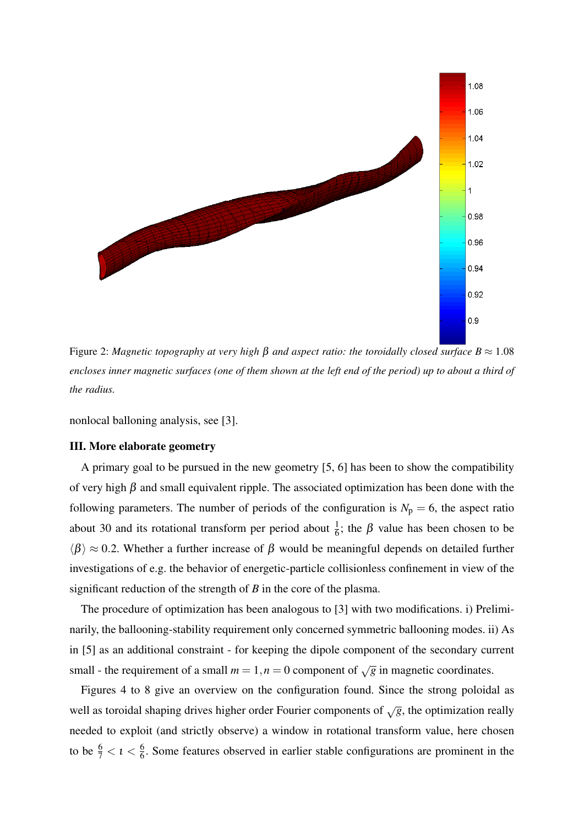

Figure 2: *Magnetic topography at very high* β *and aspect ratio: the toroidally closed surface B* ≈ 1.08 *encloses inner magnetic surfaces (one of them shown at the left end of the period) up to about a third of the radius.*

nonlocal balloning analysis, see [3].

#### III. More elaborate geometry

A primary goal to be pursued in the new geometry [5, 6] has been to show the compatibility of very high  $\beta$  and small equivalent ripple. The associated optimization has been done with the following parameters. The number of periods of the configuration is  $N_p = 6$ , the aspect ratio about 30 and its rotational transform per period about  $\frac{1}{6}$ ; the β value has been chosen to be  $\langle \beta \rangle \approx 0.2$ . Whether a further increase of  $\beta$  would be meaningful depends on detailed further investigations of e.g. the behavior of energetic-particle collisionless confinement in view of the significant reduction of the strength of *B* in the core of the plasma.

The procedure of optimization has been analogous to [3] with two modifications. i) Preliminarily, the ballooning-stability requirement only concerned symmetric ballooning modes. ii) As in [5] as an additional constraint - for keeping the dipole component of the secondary current small - the requirement of a small  $m = 1, n = 0$  component of  $\sqrt{g}$  in magnetic coordinates.

Figures 4 to 8 give an overview on the configuration found. Since the strong poloidal as well as toroidal shaping drives higher order Fourier components of <sup>√</sup>*g*, the optimization really needed to exploit (and strictly observe) a window in rotational transform value, here chosen to be  $\frac{6}{7} < i < \frac{6}{6}$  $\frac{6}{6}$ . Some features observed in earlier stable configurations are prominent in the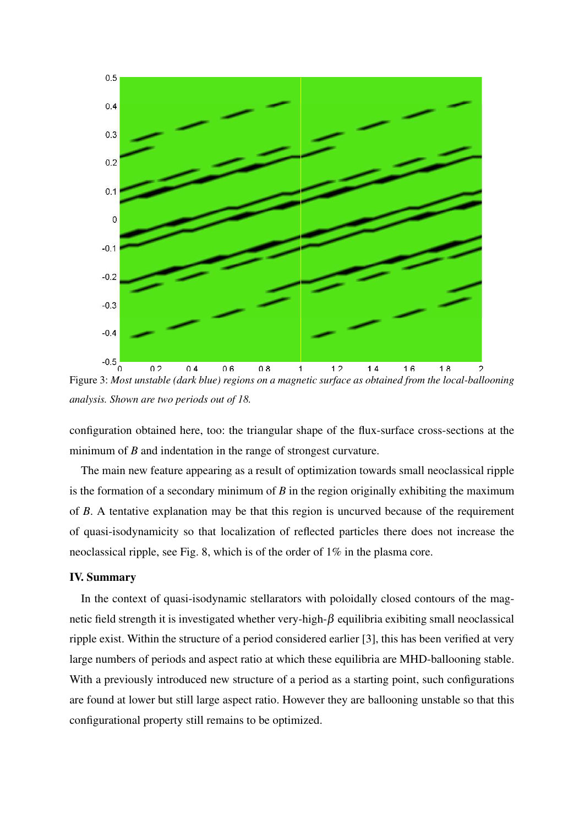

Figure 3: *Most unstable (dark blue) regions on a magnetic surface as obtained from the local-ballooning analysis. Shown are two periods out of 18.*

configuration obtained here, too: the triangular shape of the flux-surface cross-sections at the minimum of *B* and indentation in the range of strongest curvature.

The main new feature appearing as a result of optimization towards small neoclassical ripple is the formation of a secondary minimum of *B* in the region originally exhibiting the maximum of *B*. A tentative explanation may be that this region is uncurved because of the requirement of quasi-isodynamicity so that localization of reflected particles there does not increase the neoclassical ripple, see Fig. 8, which is of the order of 1% in the plasma core.

## IV. Summary

In the context of quasi-isodynamic stellarators with poloidally closed contours of the magnetic field strength it is investigated whether very-high- $\beta$  equilibria exibiting small neoclassical ripple exist. Within the structure of a period considered earlier [3], this has been verified at very large numbers of periods and aspect ratio at which these equilibria are MHD-ballooning stable. With a previously introduced new structure of a period as a starting point, such configurations are found at lower but still large aspect ratio. However they are ballooning unstable so that this configurational property still remains to be optimized.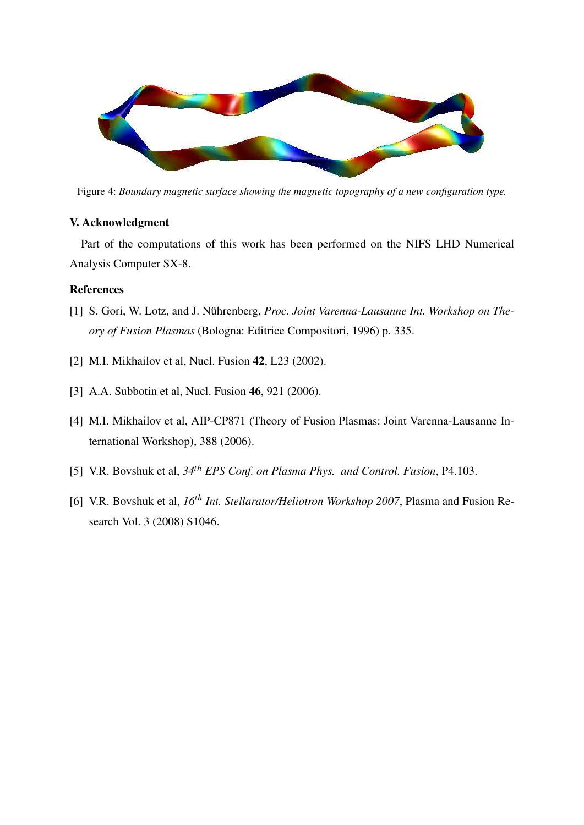

Figure 4: *Boundary magnetic surface showing the magnetic topography of a new configuration type.*

# V. Acknowledgment

Part of the computations of this work has been performed on the NIFS LHD Numerical Analysis Computer SX-8.

# References

- [1] S. Gori, W. Lotz, and J. Nührenberg, *Proc. Joint Varenna-Lausanne Int. Workshop on Theory of Fusion Plasmas* (Bologna: Editrice Compositori, 1996) p. 335.
- [2] M.I. Mikhailov et al, Nucl. Fusion **42**, L23 (2002).
- [3] A.A. Subbotin et al, Nucl. Fusion **46**, 921 (2006).
- [4] M.I. Mikhailov et al, AIP-CP871 (Theory of Fusion Plasmas: Joint Varenna-Lausanne International Workshop), 388 (2006).
- [5] V.R. Bovshuk et al, *34th EPS Conf. on Plasma Phys. and Control. Fusion*, P4.103.
- [6] V.R. Bovshuk et al, *16th Int. Stellarator/Heliotron Workshop 2007*, Plasma and Fusion Research Vol. 3 (2008) S1046.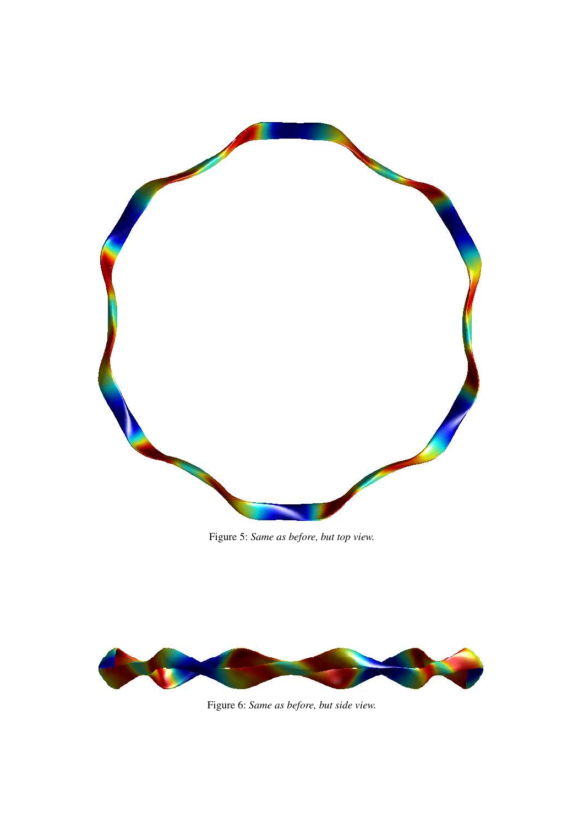

Figure 5: *Same as before, but top view.*



Figure 6: *Same as before, but side view.*